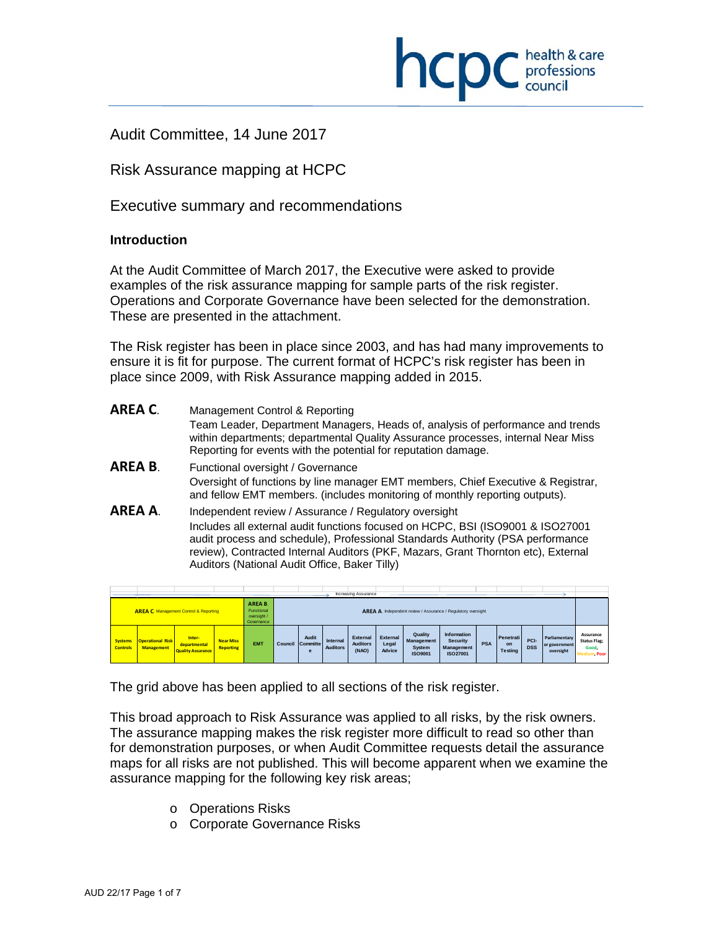

Audit Committee, 14 June 2017

Risk Assurance mapping at HCPC

Executive summary and recommendations

# **Introduction**

L

At the Audit Committee of March 2017, the Executive were asked to provide examples of the risk assurance mapping for sample parts of the risk register. Operations and Corporate Governance have been selected for the demonstration. These are presented in the attachment.

The Risk register has been in place since 2003, and has had many improvements to ensure it is fit for purpose. The current format of HCPC's risk register has been in place since 2009, with Risk Assurance mapping added in 2015.

| AREA C. | Management Control & Reporting<br>Team Leader, Department Managers, Heads of, analysis of performance and trends<br>within departments; departmental Quality Assurance processes, internal Near Miss<br>Reporting for events with the potential for reputation damage.                                                                                          |
|---------|-----------------------------------------------------------------------------------------------------------------------------------------------------------------------------------------------------------------------------------------------------------------------------------------------------------------------------------------------------------------|
| AREA B. | Functional oversight / Governance<br>Oversight of functions by line manager EMT members, Chief Executive & Registrar,<br>and fellow EMT members. (includes monitoring of monthly reporting outputs).                                                                                                                                                            |
| AREA A. | Independent review / Assurance / Regulatory oversight<br>Includes all external audit functions focused on HCPC, BSI (ISO9001 & ISO27001<br>audit process and schedule), Professional Standards Authority (PSA performance<br>review), Contracted Internal Auditors (PKF, Mazars, Grant Thornton etc), External<br>Auditors (National Audit Office, Baker Tilly) |

|                                   |                                              |                                                    |                                      |                                                    |                                                               |                               |                             | Increasing Assurance                 |                             |                                                          |                                                          |            |                                   |                    |                                             |                                                           |
|-----------------------------------|----------------------------------------------|----------------------------------------------------|--------------------------------------|----------------------------------------------------|---------------------------------------------------------------|-------------------------------|-----------------------------|--------------------------------------|-----------------------------|----------------------------------------------------------|----------------------------------------------------------|------------|-----------------------------------|--------------------|---------------------------------------------|-----------------------------------------------------------|
|                                   |                                              | <b>AREA C. Management Control &amp; Reporting</b>  |                                      | AREA B.<br>Functional<br>oversight /<br>Governance | AREA A. Independent review / Assurance / Regulatory oversight |                               |                             |                                      |                             |                                                          |                                                          |            |                                   |                    |                                             |                                                           |
| <b>Systems</b><br><b>Controls</b> | <b>Operational Risk</b><br><b>Management</b> | Inter-<br>departmental<br><b>Quality Assurance</b> | <b>Near Miss</b><br><b>Reporting</b> | <b>EMT</b>                                         | Council                                                       | <b>Audit</b><br>Committe<br>e | Internal<br><b>Auditors</b> | External<br><b>Auditors</b><br>(NAO) | External<br>Legal<br>Advice | Quality<br><b>Management</b><br>System<br><b>ISO9001</b> | Information<br><b>Security</b><br>Management<br>ISO27001 | <b>PSA</b> | Penetrati<br>on<br><b>Testing</b> | PCI-<br><b>DSS</b> | Parliamentary<br>or government<br>oversight | Assurance<br><b>Status Flag;</b><br>Good.<br>Medium, Poor |

The grid above has been applied to all sections of the risk register.

This broad approach to Risk Assurance was applied to all risks, by the risk owners. The assurance mapping makes the risk register more difficult to read so other than for demonstration purposes, or when Audit Committee requests detail the assurance maps for all risks are not published. This will become apparent when we examine the assurance mapping for the following key risk areas;

- o Operations Risks
- o Corporate Governance Risks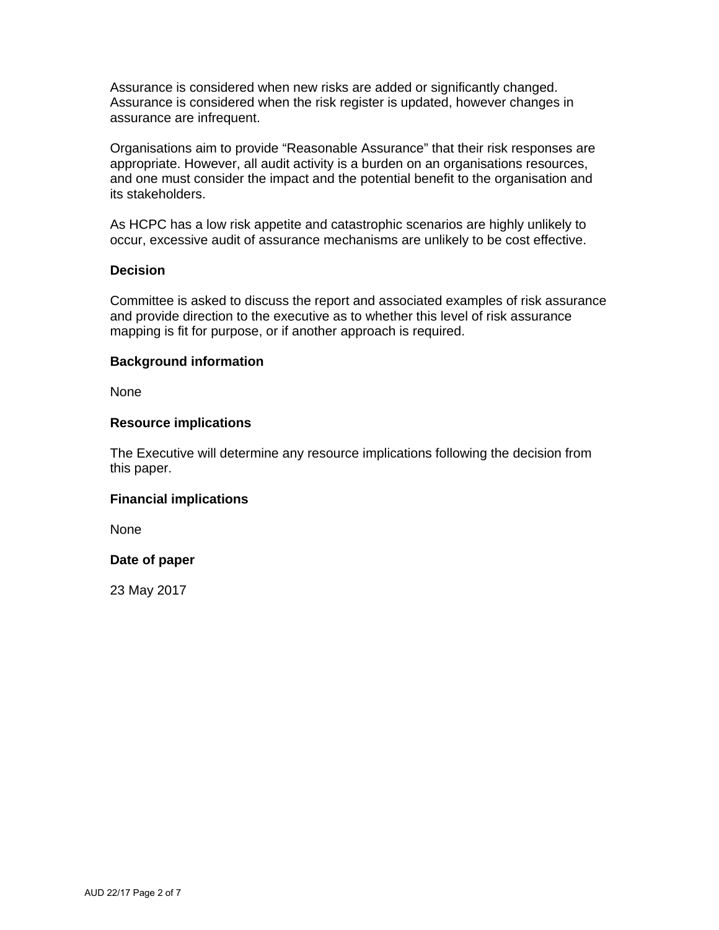Assurance is considered when new risks are added or significantly changed. Assurance is considered when the risk register is updated, however changes in assurance are infrequent.

Organisations aim to provide "Reasonable Assurance" that their risk responses are appropriate. However, all audit activity is a burden on an organisations resources, and one must consider the impact and the potential benefit to the organisation and its stakeholders.

As HCPC has a low risk appetite and catastrophic scenarios are highly unlikely to occur, excessive audit of assurance mechanisms are unlikely to be cost effective.

## **Decision**

Committee is asked to discuss the report and associated examples of risk assurance and provide direction to the executive as to whether this level of risk assurance mapping is fit for purpose, or if another approach is required.

# **Background information**

None

# **Resource implications**

The Executive will determine any resource implications following the decision from this paper.

# **Financial implications**

None

# **Date of paper**

23 May 2017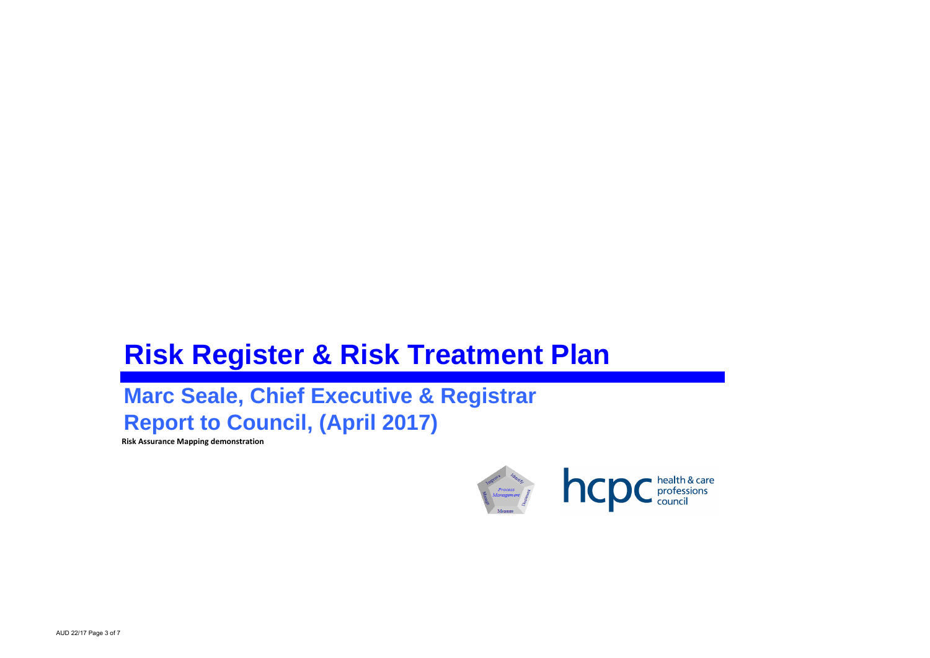# **Risk Register & Risk Treatment Plan**

# **Marc Seale, Chief Executive & Registrar Report to Council, (April 2017)**

**Risk Assurance Mapping demonstration**

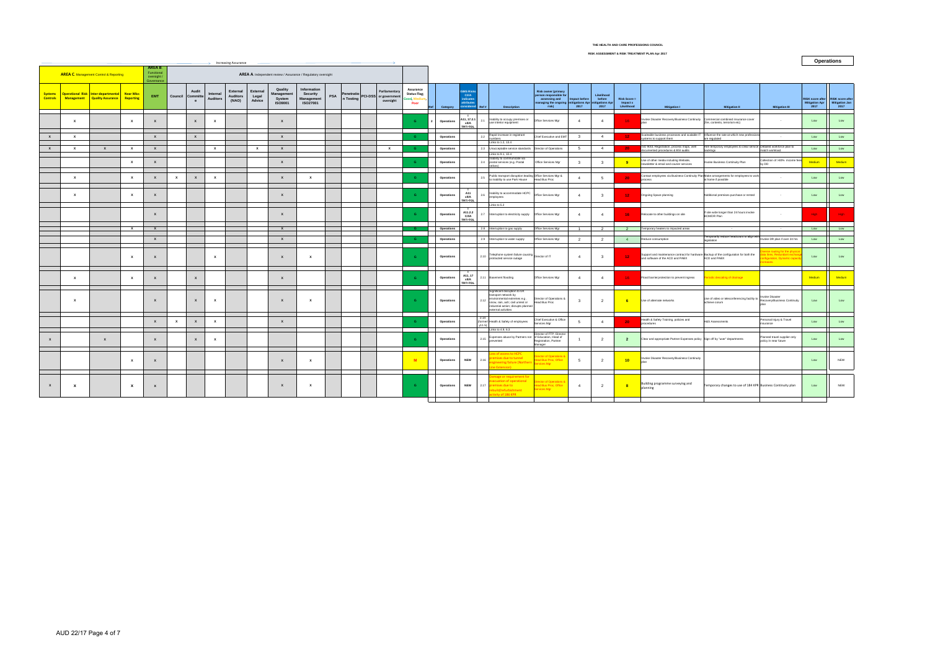|                                   | <b>Increasing Assurance</b> |                                                                     |                               |                                                    |              |                        |                             |                                      |                             |                                                   |                                                               |            |           |                                                                |                                                    |            |                                                                 |                                                                                                                                                                                            |                                                                                                                            |                         |                                                 |                                        |                                                                                                                            | <b>Operations</b>                                                               |                                                                                 |                                                   |                                                   |
|-----------------------------------|-----------------------------|---------------------------------------------------------------------|-------------------------------|----------------------------------------------------|--------------|------------------------|-----------------------------|--------------------------------------|-----------------------------|---------------------------------------------------|---------------------------------------------------------------|------------|-----------|----------------------------------------------------------------|----------------------------------------------------|------------|-----------------------------------------------------------------|--------------------------------------------------------------------------------------------------------------------------------------------------------------------------------------------|----------------------------------------------------------------------------------------------------------------------------|-------------------------|-------------------------------------------------|----------------------------------------|----------------------------------------------------------------------------------------------------------------------------|---------------------------------------------------------------------------------|---------------------------------------------------------------------------------|---------------------------------------------------|---------------------------------------------------|
|                                   |                             | <b>AREA C. Management Control &amp; Reporting</b>                   |                               | AREA B.<br>Functional<br>oversight /<br>Governance |              |                        |                             |                                      |                             |                                                   | AREA A. Independent review / Assurance / Regulatory oversight |            |           |                                                                |                                                    |            |                                                                 |                                                                                                                                                                                            |                                                                                                                            |                         |                                                 |                                        |                                                                                                                            |                                                                                 |                                                                                 |                                                   |                                                   |
| <b>Systems</b><br><b>Controls</b> |                             | Operational Risk Inter-departmental<br>Management Quality Assurance | <b>Near Miss</b><br>Reporting | <b>EMT</b>                                         | Council      | Audit<br>Committe<br>e | Internal<br><b>Auditors</b> | External<br><b>Auditors</b><br>(NAO) | External<br>Legal<br>Advice | Quality<br>Management<br>System<br><b>ISO9001</b> | Information<br>Security<br>Management<br><b>ISO27001</b>      | <b>PSA</b> | n Testing | Parliamentary<br>Penetratio PCI-DSS or government<br>oversight | Assurance<br><b>Status Flag;</b><br>ood, N<br>Poor | Category   | <b>SMS Risks</b><br><b>C/VA</b><br>indicates<br>sidered<br>Ref# | <b>Description</b>                                                                                                                                                                         | <b>Risk owner (primary</b><br>person responsible fo<br>assessing and<br>managing the ongoing mitigations Apr<br>risk) 2017 | Impact before           | Likelihood<br>before<br>nitigations Apr<br>2017 | Risk Score =<br>Impact x<br>Likelihood | <b>Mitigation I</b>                                                                                                        | <b>Mitigation II</b>                                                            | <b>Mitigation III</b>                                                           | <b>RISK score after</b><br>Mitigation Apr<br>2017 | <b>RISK score after</b><br>Mitigation Jan<br>2017 |
|                                   | $\mathbf{x}$                |                                                                     | $\mathbf{x}$                  | $\mathbf{x}$                                       |              | $\mathbf{x}$           | X                           |                                      |                             | $\mathbf{x}$                                      |                                                               |            |           |                                                                | <b>G</b>                                           | Operations | A11, 17.2.1<br><b>x/I/A</b><br><b>TRT&gt;TOL</b>                | 2.1 Inability to occupy premises or<br>use interior equipment                                                                                                                              | Office Services Mgr                                                                                                        | $\overline{4}$          | $\overline{4}$                                  | 16.                                    | Invoke Disaster Recovery/Business Continuity Commercial combined insurance cover                                           | (fire, contents, terrorism etc)                                                 | $\sim$                                                                          | Low                                               | Low                                               |
| $\mathbf{x}$                      | $\mathbf{x}$                |                                                                     |                               | $\mathbf{x}$                                       |              | $\mathbf{x}$           |                             |                                      |                             | $\mathbf{x}$                                      |                                                               |            |           |                                                                | <b>G</b>                                           | Operations | 2.2                                                             | Rapid increase in registrant<br>numbers                                                                                                                                                    | Chief Executive and EMT                                                                                                    | $\overline{\mathbf{3}}$ | $\overline{4}$                                  | $12 -$                                 | aleable business processes and scalable IT Influence the rate at which new professio<br>stems to support them              | are regulated                                                                   | $\sim$                                                                          | Low                                               | Low                                               |
| $\mathbf{x}$                      | $\mathbf{x}$                | $\mathsf{x}$                                                        | $\mathbf{x}$                  | $\mathbf{x}$                                       |              |                        | $\mathbf{x}$                |                                      | x                           | $\mathbf{x}$                                      |                                                               |            |           | $\mathbf{x}$                                                   | G                                                  | Operations |                                                                 | Links to 1.2, 13.4<br>2.3 Unacceptable service standards Director of Operations                                                                                                            |                                                                                                                            | 5                       | $\overline{4}$                                  | $20 -$                                 | ISO 9001 Registration, process maps, well<br>documented procedures & BSI audits                                            | Hire temporary employees to clear service Detailed workforce plan to<br>acklogs | match workload                                                                  | Low                                               | Low                                               |
|                                   |                             |                                                                     | $\mathbf{x}$                  | $\mathbf{x}$                                       |              |                        |                             |                                      |                             | $\mathbf{x}$                                      |                                                               |            |           |                                                                | $\mathbf{G}$                                       | Operations |                                                                 | Links to 9.1, 10.4<br>Inability to communicate via<br>2.4 postal services (e.g. Postal<br>strikes)                                                                                         | Office Services Mgr                                                                                                        | $\mathbf{3}$            | 3                                               | - 9                                    | Use of other media including Website,<br>newsletter & email and courier services                                           | voke Business Continuity Plan                                                   | Collection of >80% income fees<br>w DD                                          | Medium                                            | Medium                                            |
|                                   | $\mathbf{x}$                |                                                                     | $\mathbf{x}$                  | $\mathbf{x}$                                       | $\mathbf{x}$ | $\mathbf{x}$           | $\mathbf{x}$                |                                      |                             | $\mathbf{x}$                                      | $\mathbf{x}$                                                  |            |           |                                                                |                                                    | Operations | 2.5                                                             | Public transport disruption leading Office Services Mgr &<br>to inability to use Park House Head Bus Proc                                                                                  |                                                                                                                            |                         | $\overline{5}$                                  | 20 <sub>1</sub>                        | Contact employees via Business Continuity Plan Make arrangements for employees to work<br>process                          | at home if possible                                                             |                                                                                 | Low                                               | Low                                               |
|                                   | $\mathbf{x}$                |                                                                     | $\mathbf{x}$                  | $\mathbf{x}$                                       |              |                        |                             |                                      |                             | $\mathbf{x}$                                      |                                                               |            |           |                                                                | G.                                                 | Operations | A11<br><b>x/l/A</b><br>TRT>TOL                                  | 2.6 Inability to accommodate HCPC Office Services Mgr                                                                                                                                      |                                                                                                                            | $\overline{4}$          | $\overline{\mathbf{3}}$                         | $12 -$                                 | Ongoing Space planning                                                                                                     | Additional premises purchase or rented                                          |                                                                                 | Low                                               |                                                   |
|                                   |                             |                                                                     |                               | $\mathbf{x}$                                       |              |                        |                             |                                      |                             | $\mathbf{x}$                                      |                                                               |            |           |                                                                | G.                                                 | Operations | A11.2.2<br><b>C/VA</b><br>TRT>TOL                               | Links to 5.2<br>2.7 Interruption to electricity supply Office Services Mgr                                                                                                                 |                                                                                                                            | $\overline{a}$          | $\overline{4}$                                  | 16 <sub>1</sub>                        | Relocate to other buildings on site                                                                                        | If site wide longer than 24 hours invoke<br><b>BCM/DR Plan</b>                  | $\sim$                                                                          | High                                              |                                                   |
|                                   |                             |                                                                     | $\mathbf{x}$                  | $\mathbf{x}$                                       |              |                        |                             |                                      |                             | $\mathbf{x}$                                      |                                                               |            |           |                                                                |                                                    | Operations |                                                                 | 2.8 Interruption to gas supply                                                                                                                                                             | Office Services Mgr                                                                                                        | $\overline{1}$          | $\overline{2}$                                  | $\overline{2}$                         | Temporary heaters to impacted areas                                                                                        |                                                                                 |                                                                                 | Low <b>Comment</b>                                | <b>Low</b>                                        |
|                                   |                             |                                                                     |                               | $\mathbf{x}$                                       |              |                        |                             |                                      |                             | $\mathbf{x}$                                      |                                                               |            |           |                                                                | G                                                  | Operations |                                                                 | 2.9 Interruption to water supply                                                                                                                                                           | Office Services Mgr                                                                                                        | $\overline{2}$          | $\overline{2}$                                  | $\sim$ 4                               | Reduce consumption                                                                                                         | emporarily reduce headcount to align with<br>egislation                         | nvoke DR plan if over 24 hrs                                                    | Low                                               | Low                                               |
|                                   |                             |                                                                     | $\mathbf{x}$                  | $\mathbf{x}$                                       |              |                        | $\mathbf{x}$                |                                      |                             | $\mathbf{x}$                                      | $\mathbf{x}$                                                  |            |           |                                                                | G                                                  | Operations |                                                                 | 2.10 Telephone system failure causing<br>protracted service outage                                                                                                                         |                                                                                                                            | $\overline{4}$          | $\overline{\mathbf{3}}$                         | $12 -$                                 | Support and maintenance contract for hardware Backup of the configuration for both the<br>and software of the ACD and PABX | ACD and PABX                                                                    | se routing for the physi<br>lines, Redundant exchange<br>guration, Dynamic capa | Low                                               | Low                                               |
|                                   | $\mathbf{x}$                |                                                                     | $\mathbf{x}$                  |                                                    |              | $\mathbf{x}$           |                             |                                      |                             | $\mathbf{x}$                                      |                                                               |            |           |                                                                | G.                                                 | Operations | A11, 17<br><b>x/l/A</b><br>TRT>TOL                              | 2.11 Basement flooding                                                                                                                                                                     | Office Services Mgr                                                                                                        | $\overline{a}$          | $\overline{4}$                                  | 16.                                    | Flood barrier protection to prevent ingress                                                                                | riodic descaling of drainage                                                    |                                                                                 | Medium                                            | Medium                                            |
|                                   | $\mathbf{x}$                |                                                                     |                               | $\mathbf{x}$                                       |              | $\mathbf{x}$           | $\mathbf{x}$                |                                      |                             | $\mathbf{x}$                                      | $\mathbf{x}$                                                  |            |           |                                                                | G.                                                 | Operations |                                                                 | Significant disruption to UK<br>transport network by<br>2.12 environmental extremes e.g.<br>snow, rain, ash; civil unrest or<br>industrial action; disrupts planned<br>external activities | Director of Operations &<br>Head Bus Proc                                                                                  | $\mathbf{R}$            | $\overline{2}$                                  | 6 <sup>1</sup>                         | Use of alternate networks                                                                                                  | Use of video or teleconferencing facility to<br>achieve corum                   | <b>nvoke Disaster</b><br>Recovery/Business Continuity                           | Low                                               | Low                                               |
|                                   |                             |                                                                     |                               | $\mathbf{x}$                                       | $\mathbf{x}$ | $\mathbf{x}$           | $\mathbf{x}$                |                                      |                             | $\mathbf{x}$                                      |                                                               |            |           |                                                                | G                                                  | Operations | 2.14<br>v11.51                                                  | (formerl Health & Safety of employees                                                                                                                                                      | Chief Executive & Office<br>Services Mar                                                                                   | $\sqrt{2}$              | $\overline{4}$                                  | 20 <sub>1</sub>                        | Health & Safety Training, policies and<br>orocedures                                                                       | H&S Assessments                                                                 | Personal Injury & Travel<br>insurance                                           | Low                                               | Low                                               |
|                                   |                             | $\mathbf{x}$                                                        |                               | $\mathbf{x}$                                       |              | $\mathbf{x}$           | $\mathbf{x}$                |                                      |                             |                                                   |                                                               |            |           |                                                                | <b>G</b>                                           | Operations |                                                                 | Links to 4.9, 6.3<br>2.15 Expenses abuse by Partners not<br>prevented                                                                                                                      | Director of FTP, Director<br>of Education. Head of<br>Registration, Partner<br>Manager                                     |                         | $\overline{2}$                                  | $\overline{2}$                         | Clear and appropriate Partner Expenses policy Sign off by "user" departments                                               |                                                                                 | Planned travel supplier only<br>policy in near future                           | Low                                               |                                                   |
|                                   |                             |                                                                     | $\mathbf{x}$                  | $\mathbf{x}$                                       |              |                        |                             |                                      |                             | $\mathbf{x}$                                      | $\mathbf{x}$                                                  |            |           |                                                                | M                                                  | Operations | 2.16<br><b>NEW</b>                                              | s of access to HCPC<br>nises due to tunnel<br>ineering failure (Norther                                                                                                                    | rector of Operations<br>ead Bus Proc, Office<br><b>Prvices Mgr</b>                                                         | - 5                     | $\overline{2}$                                  | 10 <sup>2</sup>                        | Invoke Disaster Recovery/Business Continuity                                                                               |                                                                                 |                                                                                 | Low                                               | <b>NEW</b>                                        |
|                                   | $\boldsymbol{\mathsf{x}}$   |                                                                     | $\mathbf{x}$                  | $\boldsymbol{x}$                                   |              |                        |                             |                                      |                             | $\mathbf{x}$                                      | $\mathbf{x}$                                                  |            |           |                                                                | G                                                  | Operations | 2.17<br><b>NEW</b>                                              | nage or requirement for<br>cuation of operational<br>mises due to<br>uild/refurbishment<br>ty of 186 KPR                                                                                   | rector of Operations<br>lead Bus Proc, Office<br>ervices Mgr                                                               | $\overline{4}$          | $\overline{2}$                                  | 8 <sup>2</sup>                         | Building programme surveying and<br>planning                                                                               | Temporary changes to use of 184 KPR Business Continuity plan                    |                                                                                 | Low                                               | <b>NEW</b>                                        |
|                                   |                             |                                                                     |                               |                                                    |              |                        |                             |                                      |                             |                                                   |                                                               |            |           |                                                                |                                                    |            |                                                                 |                                                                                                                                                                                            |                                                                                                                            |                         |                                                 |                                        |                                                                                                                            |                                                                                 |                                                                                 |                                                   |                                                   |

### **THE HEALTH AND CARE PROFESSIONS COUNCIL**

**RISK ASSESSMENT & RISK TREATMENT PLAN Apr 2017**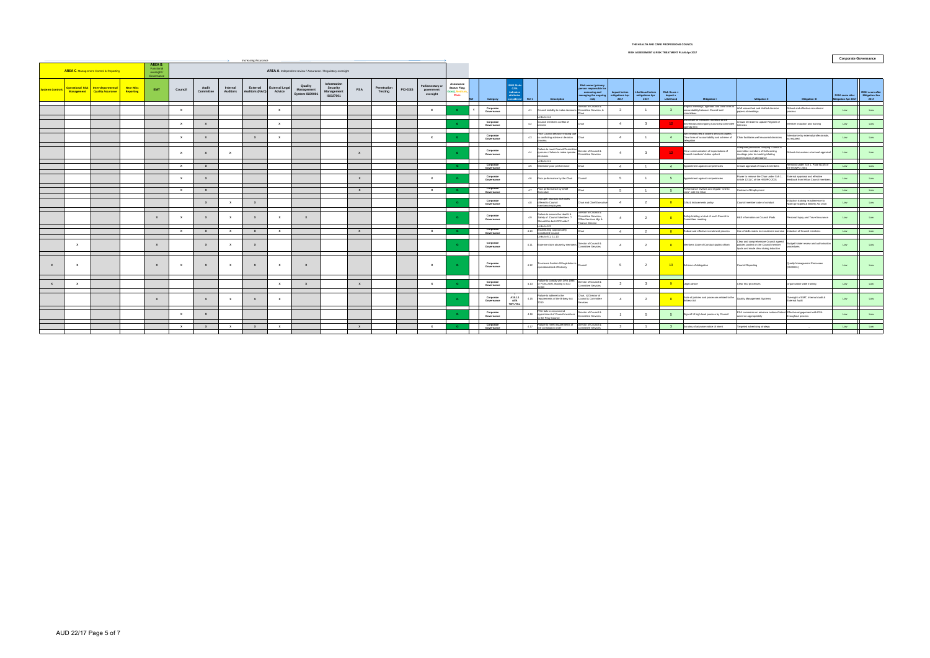| <b>Increasing Assurance</b> |                                                                                                                                                                          |                                                                         |                               |                  |              |                    |                             |                                   |                       |                                         |                                                   |                  |                               |                |                                             |                                                       |                                       |                                                                               |                                                                                                           |                                                                                                |                                          |                                                     | <b>Corporate Governance</b>                   |                                                                                                                                          |                                                                                                                                       |                                                                           |                                                |                                            |
|-----------------------------|--------------------------------------------------------------------------------------------------------------------------------------------------------------------------|-------------------------------------------------------------------------|-------------------------------|------------------|--------------|--------------------|-----------------------------|-----------------------------------|-----------------------|-----------------------------------------|---------------------------------------------------|------------------|-------------------------------|----------------|---------------------------------------------|-------------------------------------------------------|---------------------------------------|-------------------------------------------------------------------------------|-----------------------------------------------------------------------------------------------------------|------------------------------------------------------------------------------------------------|------------------------------------------|-----------------------------------------------------|-----------------------------------------------|------------------------------------------------------------------------------------------------------------------------------------------|---------------------------------------------------------------------------------------------------------------------------------------|---------------------------------------------------------------------------|------------------------------------------------|--------------------------------------------|
|                             | AREA B.<br>Functional<br><b>AREA C. Management Control &amp; Reporting</b><br>AREA A. Independent review / Assurance / Regulatory oversight<br>oversight /<br>Governance |                                                                         |                               |                  |              |                    |                             |                                   |                       |                                         |                                                   |                  |                               |                |                                             |                                                       |                                       |                                                                               |                                                                                                           |                                                                                                |                                          |                                                     |                                               |                                                                                                                                          |                                                                                                                                       |                                                                           |                                                |                                            |
| <b>Systems Controls</b>     |                                                                                                                                                                          | Operational Risk   Inter-departmental<br>Management   Quality Assurance | <b>Near Miss</b><br>Reporting | EMT              | Council      | Audit<br>Committee | Internal<br><b>Auditors</b> | External<br>Auditors (NAO) Advice | <b>External Legal</b> | Quality<br>Management<br>System ISO9001 | Information<br>Security<br>Management<br>ISO27001 | PSA              | Penetration<br><b>Testing</b> | <b>PCI-DSS</b> | Parliamentary or<br>government<br>oversight | Assurance<br><b>Status Flag:</b><br>ood, Med<br>Poor. | Category                              | <b>SMS Risk</b><br><b>C/VA</b><br>indicates<br>attributes<br>considered Ref # | <b>Description</b>                                                                                        | Risk owner (primary<br>person responsible fo<br>assessing and<br>managing the ongoing<br>risk) | Impact before<br>mitigations Apr<br>2017 | <b>Likelihood before</b><br>mitigations Apr<br>2017 | <b>Risk Score</b> =<br>Impact x<br>Likelihood | <b>Mitigation I</b>                                                                                                                      | <b>Mitigation II</b>                                                                                                                  | <b>Mitigation III</b>                                                     | <b>RISK score after</b><br>Mitigation Apr 2017 | RISK score after<br>Mitigation Jan<br>2017 |
|                             |                                                                                                                                                                          |                                                                         |                               |                  |              |                    |                             |                                   | $\mathbf{x}$          |                                         |                                                   |                  |                               |                | $\mathbf{x}$                                |                                                       | Corporate<br>Governance               | 4.1                                                                           | Council inability to make decisions Committee Services, &<br>Links to 4.4                                 | Director of Council &                                                                          | $\overline{\mathbf{3}}$                  |                                                     | 3 <sup>1</sup>                                | egular meetings, agendas and clear lines of<br>accountability between Council and                                                        | Well researched and drafted decision<br>papers at meetings                                                                            | Robust and effective recruitment                                          | Low                                            | Low                                        |
|                             |                                                                                                                                                                          |                                                                         |                               |                  |              | $\mathbf{x}$       |                             |                                   | $\mathbf{x}$          |                                         |                                                   |                  |                               |                |                                             |                                                       | Corporate<br>Governance               | 4.2                                                                           | Council members conflict of<br>terest                                                                     |                                                                                                | $\mathbf{A}$                             |                                                     | $12 -$                                        | lisclosure of members' interests to the<br>Secretariat and ongoing Council & committee<br>meti Rhne                                      | Annual reminder to update Register of                                                                                                 | Member induction and training                                             | Low                                            | Low                                        |
|                             |                                                                                                                                                                          |                                                                         |                               |                  | $\mathbf{x}$ | $\mathbf{x}$       |                             | $\mathbf{x}$                      | $\mathbf{x}$          |                                         |                                                   |                  |                               |                | $\mathbf{x}$                                |                                                       | Corporate<br>Governance               | 4.3                                                                           | Poor Council decision-making due<br>to conflicting advice or decision Chair                               |                                                                                                | $\overline{4}$                           |                                                     | 4                                             | .<br>Well-researched & drafted decision papers,<br>Clear lines of accountability and scheme of Chair facilitates well reasoned decisions |                                                                                                                                       | Attendance by external professionals,<br>as required.                     | Low                                            | Low                                        |
|                             |                                                                                                                                                                          |                                                                         |                               |                  | $\mathbf{x}$ | $\mathbf{x}$       | $\mathbf{x}$                |                                   |                       |                                         |                                                   | $\mathbf{x}$     |                               |                |                                             |                                                       | Corporate<br>Governance               | 4.4                                                                           | Failure to meet Council/Committee<br>quorums / failure to make quorate<br>Committee Services<br>decisions |                                                                                                | $\overline{4}$                           | $\mathbf{3}$                                        |                                               | Clear communication of expectations of<br>Council members' duties upfront                                                                | quate processes notifying Council &<br>mittee members of forthcoming<br>neetings prior to meeting icluding<br>firmation of attendance | Robust discussions at annual appraisal                                    | Low                                            | Low                                        |
|                             |                                                                                                                                                                          |                                                                         |                               |                  | $\mathbf{x}$ | $\mathbf{x}$       |                             |                                   |                       |                                         |                                                   |                  |                               |                |                                             | G.                                                    | Corporate<br>Governance               | 4.5                                                                           | Links to 4.1<br>Members' poor performance                                                                 | Chair                                                                                          | 4                                        |                                                     | $4 -$                                         | Appointment against competencies                                                                                                         | Annual appraisal of Council members                                                                                                   | emoval under Sch 1, Para 9(1)(f) of<br>e HSWPO 2001                       | Low                                            | Low                                        |
|                             |                                                                                                                                                                          |                                                                         |                               |                  |              | $\mathbf{x}$       |                             |                                   |                       |                                         |                                                   | $\boldsymbol{x}$ |                               |                |                                             |                                                       | Corporate<br>Governance               | 4.6                                                                           | Poor performance by the Chair                                                                             | Council                                                                                        | 5                                        |                                                     | 5                                             | Appointment against competencies                                                                                                         | Power to remove the Chair under Sch 1,<br>Article 12(1) C of the HSWPO 2001                                                           | External appraisal and effective<br>feedback from fellow Council members  | Low                                            | Low                                        |
|                             |                                                                                                                                                                          |                                                                         |                               |                  | $\mathbf{x}$ | $\mathbf{x}$       |                             |                                   |                       |                                         |                                                   | $\mathbf{x}$     |                               |                | $\mathbf{x}$                                | G.                                                    | Corporate<br>Governance               | 4.7                                                                           | Poor performance by Chief                                                                                 |                                                                                                | 5                                        | $\overline{1}$                                      | 5 <sup>5</sup>                                | Performance reviews and regular "one to<br>es" with the Chair                                                                            | Contract of Employment                                                                                                                | <b>Contractor</b>                                                         | Low                                            | Low                                        |
|                             |                                                                                                                                                                          |                                                                         |                               |                  |              | $\mathbf{x}$       | $\mathbf{x}$                | $\mathbf{x}$                      |                       |                                         |                                                   |                  |                               |                |                                             |                                                       | Corporate<br>Governance               | 4.8                                                                           | Improper financial incentives<br>offered to Council<br>members/employees                                  | Chair and Chief Executive                                                                      | $\overline{4}$                           | $\overline{2}$                                      |                                               | Gifts & Inducements policy                                                                                                               | Council member code of conduct                                                                                                        | Induction training re:adherence to<br>Nolan principles & Bribery Act 2010 | Low                                            | Low                                        |
|                             |                                                                                                                                                                          |                                                                         |                               | $\boldsymbol{x}$ |              | $\mathbf{x}$       | $\mathbf{x}$                | $\mathbf{x}$                      | $\mathbf{x}$          | $\mathbf{x}$                            |                                                   |                  |                               |                |                                             | G                                                     | Corporate<br>Governance               | 4.9                                                                           | Failure to ensure the Health &<br>Safety of Council Members ?<br>Should this be HCPC wide?                | Director of Council &<br>mmittee Services<br>Office Services Mgr &<br>nance Director           | $\overline{4}$                           | $\overline{2}$                                      |                                               | Safety briefing at start of each Council or<br>Committee meeting.                                                                        | H&S information on Council iPads                                                                                                      | Personal Injury and Travel insurance                                      | Low                                            | Low                                        |
|                             |                                                                                                                                                                          |                                                                         |                               |                  | $\mathbf{x}$ | $\mathbf{x}$       | $\mathbf{x}$                | $\mathbf{x}$                      | $\mathbf{x}$          |                                         |                                                   | $\mathbf{x}$     |                               |                | $\mathbf{x}$                                | <b>G</b>                                              | Corporate                             | 4.10                                                                          | Links to 6.3<br>Establishing appropriately                                                                | Chair                                                                                          | 4                                        | $\overline{2}$                                      | 8 <sup>2</sup>                                | Robust and effective recruitment process                                                                                                 | Use of skills matrix in recruitment exercise Induction of Council members                                                             |                                                                           | Low                                            | Low                                        |
|                             | $\mathbf{x}$                                                                                                                                                             |                                                                         |                               | $\mathbf{x}$     |              | $\mathbf{x}$       | $\mathbf{x}$                | $\mathbf{x}$                      |                       |                                         |                                                   |                  |                               |                |                                             |                                                       | Governance<br>Corporate<br>Governance |                                                                               | onstituted Council<br>Links to 6.1. 11.13<br>4.11 Expense claim abuse by members Director of Council &    |                                                                                                | 4                                        | $\overline{2}$                                      |                                               | Members Code of Conduct (public office)                                                                                                  | lear and comprehensive Council agreed<br>policies posted on the Council member<br>Ipads and made clear during induction               | Budget holder review and authorisation<br>procedures                      | Low                                            | Low                                        |
|                             |                                                                                                                                                                          |                                                                         |                               |                  |              |                    |                             |                                   |                       |                                         |                                                   |                  |                               |                |                                             |                                                       |                                       |                                                                               |                                                                                                           |                                                                                                |                                          |                                                     |                                               |                                                                                                                                          |                                                                                                                                       |                                                                           |                                                |                                            |
|                             | $\mathbf{x}$                                                                                                                                                             |                                                                         |                               | $\mathbf{x}$     |              |                    | $\mathbf{x}$                | $\mathbf{x}$                      | $\mathbf{x}$          | $\mathbf{x}$                            |                                                   |                  |                               |                |                                             |                                                       | Corporate<br>Governance               |                                                                               | 4.12 To ensure Section 60 legislation is Council<br>operationalised effectively                           |                                                                                                | 5 <sup>5</sup>                           | $\overline{2}$                                      |                                               | 10 Scheme of delegation                                                                                                                  | Council Reporting                                                                                                                     | Quality Management Processes<br>(ISO9001)                                 | Low                                            | Low                                        |
|                             | $\mathbf{x}$                                                                                                                                                             |                                                                         |                               |                  |              |                    |                             |                                   | $\mathbf{x}$          | $\mathsf{x}$                            |                                                   | $\mathbf{x}$     |                               |                | $\mathbf{x}$                                |                                                       | Corporate<br>Governance               |                                                                               | Failure to comply with DPA 1998<br>4.13 or FOIA 2000, leading to ICO                                      | Director of Council &<br>Committee Services                                                    | $\overline{\mathbf{3}}$                  | $\mathbf{3}$                                        |                                               | Legal advice                                                                                                                             | Clear ISO processes                                                                                                                   | Organisation-wide training                                                | Low                                            | Low                                        |
|                             |                                                                                                                                                                          |                                                                         |                               | $\mathbf{x}$     |              | $\mathbf{x}$       | $\mathbf{x}$                | $\mathbf{x}$                      | $\mathbf{x}$          |                                         |                                                   |                  |                               |                |                                             | G                                                     | Corporate<br>Governance               | A18.1.1<br>4.15<br>x/VA<br>TRT>TOL                                            | Failure to adhere to the<br>requirements of the Bribery Act                                               | Chair, & Director of<br>Council & Committee<br>Services                                        | $\overline{4}$                           | $\overline{2}$                                      |                                               | Suite of policies and processes related to the<br>Bribery Act                                                                            | Quality Management Systems                                                                                                            | Oversight of EMT, Internal Audit &<br>External Audit                      | Low                                            | Low                                        |
|                             |                                                                                                                                                                          |                                                                         |                               |                  |              |                    |                             |                                   |                       |                                         |                                                   |                  |                               |                |                                             |                                                       | Corporate<br>Governance               |                                                                               | PSA fails to recommend<br>4.16 appointment of Council members<br>to the Privy Council                     | Director of Council &<br>Committee Services                                                    |                                          | - 5                                                 | 5                                             | Sign off of high level process by Council                                                                                                | PSA comments on advance notice of intent Effective engagement with PSA<br>acted on appropriately                                      | throughout process                                                        | Low                                            | Low                                        |
|                             |                                                                                                                                                                          |                                                                         |                               |                  | $\mathbf{x}$ | $\mathbf{x}$       | $\mathbf{x}$                | $\mathbf{x}$                      | $\mathbf{x}$          |                                         |                                                   | $\mathbf{x}$     |                               |                | $\mathbf{x}$                                | G.                                                    | Corporate<br>Governance               | 4.17                                                                          | Failure to meet requirements of Director of Council &<br>the constitution order                           | Committee Services                                                                             | $\mathbf{3}$                             | $\overline{1}$                                      |                                               | 3 Scrutiny of advance notice of intent                                                                                                   | Targeted advertising strategy                                                                                                         | $\sim$                                                                    | Low                                            | Low                                        |
|                             |                                                                                                                                                                          |                                                                         |                               |                  |              |                    |                             |                                   |                       |                                         |                                                   |                  |                               |                |                                             |                                                       |                                       |                                                                               |                                                                                                           |                                                                                                |                                          |                                                     |                                               |                                                                                                                                          |                                                                                                                                       |                                                                           |                                                |                                            |

### **THE HEALTH AND CARE PROFESSIONS COUNCIL RISK ASSESSMENT & RISK TREATMENT PLAN Apr 2017**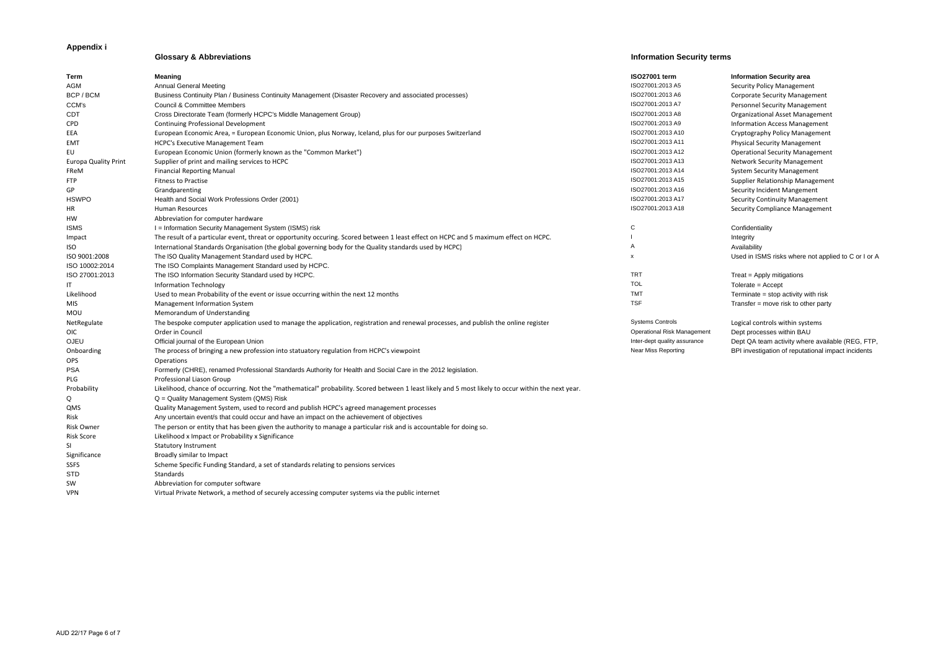# **Appendix i**

## **Glossary & Abbreviations Information Security terms**

| <b>Term</b>                 | Meaning                                                                                                                                             | <b>ISO27001 term</b>               | <b>Information Security area</b> |
|-----------------------------|-----------------------------------------------------------------------------------------------------------------------------------------------------|------------------------------------|----------------------------------|
| AGM                         | <b>Annual General Meeting</b>                                                                                                                       | ISO27001:2013 A5                   | <b>Security Policy Managemer</b> |
| BCP / BCM                   | Business Continuity Plan / Business Continuity Management (Disaster Recovery and associated processes)                                              | ISO27001:2013 A6                   | Corporate Security Manage        |
| CCM's                       | Council & Committee Members                                                                                                                         | ISO27001:2013 A7                   | Personnel Security Manage        |
| <b>CDT</b>                  | Cross Directorate Team (formerly HCPC's Middle Management Group)                                                                                    | ISO27001:2013 A8                   | <b>Organizational Asset Mana</b> |
| CPD                         | Continuing Professional Development                                                                                                                 | ISO27001:2013 A9                   | <b>Information Access Manag</b>  |
| EEA                         | European Economic Area, = European Economic Union, plus Norway, Iceland, plus for our purposes Switzerland                                          | ISO27001:2013 A10                  | Cryptography Policy Manag        |
| <b>EMT</b>                  | <b>HCPC's Executive Management Team</b>                                                                                                             | ISO27001:2013 A11                  | <b>Physical Security Managem</b> |
| EU                          | European Economic Union (formerly known as the "Common Market")                                                                                     | ISO27001:2013 A12                  | <b>Operational Security Mana</b> |
| <b>Europa Quality Print</b> | Supplier of print and mailing services to HCPC                                                                                                      | ISO27001:2013 A13                  | <b>Network Security Manager</b>  |
| FReM                        | <b>Financial Reporting Manual</b>                                                                                                                   | ISO27001:2013 A14                  | <b>System Security Managem</b>   |
| <b>FTP</b>                  | <b>Fitness to Practise</b>                                                                                                                          | ISO27001:2013 A15                  | Supplier Relationship Mana       |
| GP                          | Grandparenting                                                                                                                                      | ISO27001:2013 A16                  | Security Incident Mangeme        |
| <b>HSWPO</b>                | Health and Social Work Professions Order (2001)                                                                                                     | ISO27001:2013 A17                  | <b>Security Continuity Manag</b> |
| HR                          | Human Resources                                                                                                                                     | ISO27001:2013 A18                  | <b>Security Compliance Mana</b>  |
| HW                          | Abbreviation for computer hardware                                                                                                                  |                                    |                                  |
| <b>ISMS</b>                 | I = Information Security Management System (ISMS) risk                                                                                              | С                                  | Confidentiality                  |
| Impact                      | The result of a particular event, threat or opportunity occuring. Scored between 1 least effect on HCPC and 5 maximum effect on HCPC.               |                                    | Integrity                        |
| <b>ISO</b>                  | International Standards Organisation (the global governing body for the Quality standards used by HCPC)                                             |                                    | Availability                     |
| ISO 9001:2008               | The ISO Quality Management Standard used by HCPC.                                                                                                   | x                                  | Used in ISMS risks where a       |
| ISO 10002:2014              | The ISO Complaints Management Standard used by HCPC.                                                                                                |                                    |                                  |
| ISO 27001:2013              | The ISO Information Security Standard used by HCPC.                                                                                                 | <b>TRT</b>                         | Treat = Apply mitigations        |
| IT                          | Information Technology                                                                                                                              | <b>TOL</b>                         | $Tolerate = Accept$              |
| Likelihood                  | Used to mean Probability of the event or issue occurring within the next 12 months                                                                  | <b>TMT</b>                         | Terminate = stop activity w      |
| MIS.                        | Management Information System                                                                                                                       | <b>TSF</b>                         | Transfer $=$ move risk to oth    |
| MOU                         | Memorandum of Understanding                                                                                                                         |                                    |                                  |
| NetRegulate                 | The bespoke computer application used to manage the application, registration and renewal processes, and publish the online register                | <b>Systems Controls</b>            | Logical controls within syst     |
| OIC.                        | Order in Council                                                                                                                                    | <b>Operational Risk Management</b> | Dept processes within BAL        |
| OJEU                        | Official journal of the European Union                                                                                                              | Inter-dept quality assurance       | Dept QA team activity where      |
| Onboarding                  | The process of bringing a new profession into statuatory regulation from HCPC's viewpoint                                                           | Near Miss Reporting                | BPI investigation of reputat     |
| OPS                         | <b>Operations</b>                                                                                                                                   |                                    |                                  |
| <b>PSA</b>                  | Formerly (CHRE), renamed Professional Standards Authority for Health and Social Care in the 2012 legislation.                                       |                                    |                                  |
| PLG                         | Professional Liason Group                                                                                                                           |                                    |                                  |
| Probability                 | Likelihood, chance of occurring. Not the "mathematical" probability. Scored between 1 least likely and 5 most likely to occur within the next year. |                                    |                                  |
| Q                           | Q = Quality Management System (QMS) Risk                                                                                                            |                                    |                                  |
| QMS                         | Quality Management System, used to record and publish HCPC's agreed management processes                                                            |                                    |                                  |
| Risk                        | Any uncertain event/s that could occur and have an impact on the achievement of objectives                                                          |                                    |                                  |
| <b>Risk Owner</b>           | The person or entity that has been given the authority to manage a particular risk and is accountable for doing so.                                 |                                    |                                  |
| Risk Score                  | Likelihood x Impact or Probability x Significance                                                                                                   |                                    |                                  |
| SI                          | <b>Statutory Instrument</b>                                                                                                                         |                                    |                                  |
| Significance                | Broadly similar to Impact                                                                                                                           |                                    |                                  |
| <b>SSFS</b>                 | Scheme Specific Funding Standard, a set of standards relating to pensions services                                                                  |                                    |                                  |
| <b>STD</b>                  | Standards                                                                                                                                           |                                    |                                  |
| SW                          | Abbreviation for computer software                                                                                                                  |                                    |                                  |
| <b>VPN</b>                  | Virtual Private Network, a method of securely accessing computer systems via the public internet                                                    |                                    |                                  |

| Information Security area |  |  |
|---------------------------|--|--|
|---------------------------|--|--|

Security Policy Management Corporate Security Management Personnel Security Management Organizational Asset Management Information Access Management Eryptography Policy Management Physical Security Management **Operational Security Management** Network Security Management System Security Management Supplier Relationship Management Security Incident Mangement Security Continuity Management Security Compliance Management

Used in ISMS risks where not applied to C or I or A

**Treat = Apply mitigations** Terminate = stop activity with risk Transfer = move risk to other party

Logical controls within systems agement Dept processes within BAU urance **Dept QA team activity where available (REG, FTP,** BPI investigation of reputational impact incidents